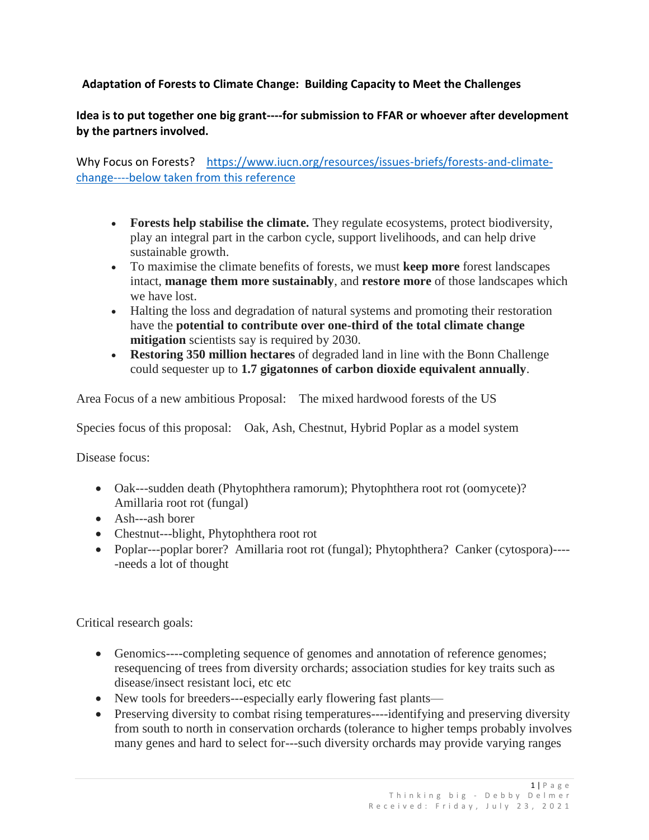## **Adaptation of Forests to Climate Change: Building Capacity to Meet the Challenges**

## **Idea is to put together one big grant----for submission to FFAR or whoever after development by the partners involved.**

Why Focus on Forests? [https://www.iucn.org/resources/issues-briefs/forests-and-climate](https://www.iucn.org/resources/issues-briefs/forests-and-climate-change----below)[change----below](https://www.iucn.org/resources/issues-briefs/forests-and-climate-change----below) taken from this reference

- **Forests help stabilise the climate.** They regulate ecosystems, protect biodiversity, play an integral part in the carbon cycle, support livelihoods, and can help drive sustainable growth.
- To maximise the climate benefits of forests, we must **keep more** forest landscapes intact, **manage them more sustainably**, and **restore more** of those landscapes which we have lost.
- Halting the loss and degradation of natural systems and promoting their restoration have the **potential to contribute over one-third of the total climate change mitigation** scientists say is required by 2030.
- **Restoring 350 million hectares** of degraded land in line with the Bonn Challenge could sequester up to **1.7 gigatonnes of carbon dioxide equivalent annually**.

Area Focus of a new ambitious Proposal: The mixed hardwood forests of the US

Species focus of this proposal: Oak, Ash, Chestnut, Hybrid Poplar as a model system

Disease focus:

- Oak---sudden death (Phytophthera ramorum); Phytophthera root rot (oomycete)? Amillaria root rot (fungal)
- Ash---ash borer
- Chestnut---blight, Phytophthera root rot
- Poplar---poplar borer? Amillaria root rot (fungal); Phytophthera? Canker (cytospora)-----needs a lot of thought

Critical research goals:

- Genomics----completing sequence of genomes and annotation of reference genomes; resequencing of trees from diversity orchards; association studies for key traits such as disease/insect resistant loci, etc etc
- New tools for breeders---especially early flowering fast plants—
- Preserving diversity to combat rising temperatures----identifying and preserving diversity from south to north in conservation orchards (tolerance to higher temps probably involves many genes and hard to select for---such diversity orchards may provide varying ranges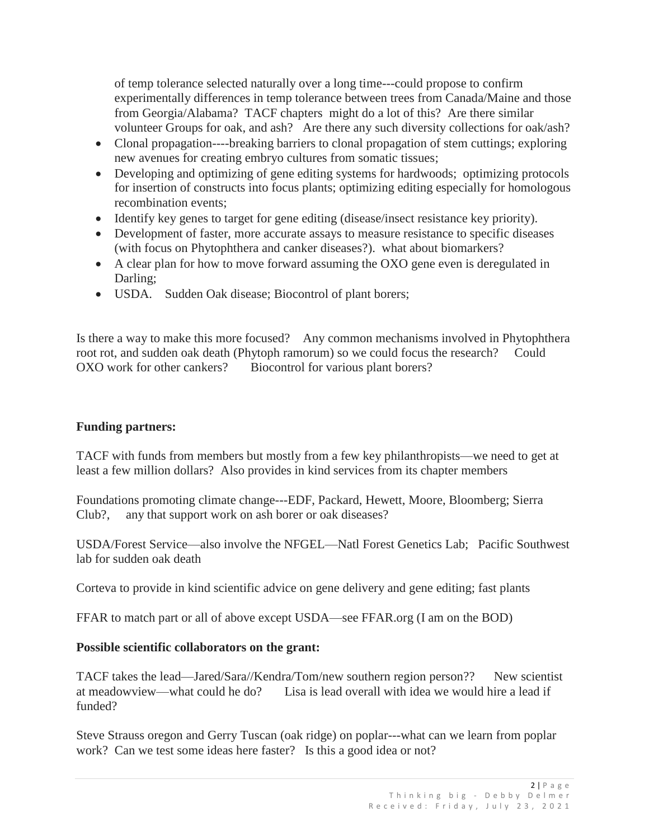of temp tolerance selected naturally over a long time---could propose to confirm experimentally differences in temp tolerance between trees from Canada/Maine and those from Georgia/Alabama? TACF chapters might do a lot of this? Are there similar volunteer Groups for oak, and ash? Are there any such diversity collections for oak/ash?

- Clonal propagation----breaking barriers to clonal propagation of stem cuttings; exploring new avenues for creating embryo cultures from somatic tissues;
- Developing and optimizing of gene editing systems for hardwoods; optimizing protocols for insertion of constructs into focus plants; optimizing editing especially for homologous recombination events;
- Identify key genes to target for gene editing (disease/insect resistance key priority).
- Development of faster, more accurate assays to measure resistance to specific diseases (with focus on Phytophthera and canker diseases?). what about biomarkers?
- A clear plan for how to move forward assuming the OXO gene even is deregulated in Darling;
- USDA. Sudden Oak disease; Biocontrol of plant borers;

Is there a way to make this more focused? Any common mechanisms involved in Phytophthera root rot, and sudden oak death (Phytoph ramorum) so we could focus the research? Could OXO work for other cankers? Biocontrol for various plant borers?

## **Funding partners:**

TACF with funds from members but mostly from a few key philanthropists—we need to get at least a few million dollars? Also provides in kind services from its chapter members

Foundations promoting climate change---EDF, Packard, Hewett, Moore, Bloomberg; Sierra Club?, any that support work on ash borer or oak diseases?

USDA/Forest Service—also involve the NFGEL—Natl Forest Genetics Lab; Pacific Southwest lab for sudden oak death

Corteva to provide in kind scientific advice on gene delivery and gene editing; fast plants

FFAR to match part or all of above except USDA—see FFAR.org (I am on the BOD)

## **Possible scientific collaborators on the grant:**

TACF takes the lead—Jared/Sara//Kendra/Tom/new southern region person?? New scientist at meadowview—what could he do? Lisa is lead overall with idea we would hire a lead if funded?

Steve Strauss oregon and Gerry Tuscan (oak ridge) on poplar---what can we learn from poplar work? Can we test some ideas here faster? Is this a good idea or not?